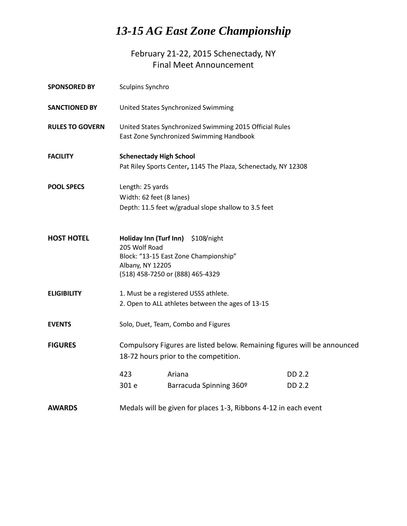## *13-15 AG East Zone Championship*

February 21-22, 2015 Schenectady, NY Final Meet Announcement

| <b>SPONSORED BY</b>    | Sculpins Synchro                                                                                    |        |                         |                                                                          |
|------------------------|-----------------------------------------------------------------------------------------------------|--------|-------------------------|--------------------------------------------------------------------------|
| <b>SANCTIONED BY</b>   | United States Synchronized Swimming                                                                 |        |                         |                                                                          |
| <b>RULES TO GOVERN</b> | United States Synchronized Swimming 2015 Official Rules<br>East Zone Synchronized Swimming Handbook |        |                         |                                                                          |
| <b>FACILITY</b>        | <b>Schenectady High School</b>                                                                      |        |                         |                                                                          |
|                        | Pat Riley Sports Center, 1145 The Plaza, Schenectady, NY 12308                                      |        |                         |                                                                          |
| <b>POOL SPECS</b>      | Length: 25 yards                                                                                    |        |                         |                                                                          |
|                        | Width: 62 feet (8 lanes)                                                                            |        |                         |                                                                          |
|                        | Depth: 11.5 feet w/gradual slope shallow to 3.5 feet                                                |        |                         |                                                                          |
| <b>HOST HOTEL</b>      | Holiday Inn (Turf Inn)                                                                              |        | \$108/night             |                                                                          |
|                        | 205 Wolf Road<br>Block: "13-15 East Zone Championship"                                              |        |                         |                                                                          |
|                        | Albany, NY 12205                                                                                    |        |                         |                                                                          |
|                        | (518) 458-7250 or (888) 465-4329                                                                    |        |                         |                                                                          |
| <b>ELIGIBILITY</b>     | 1. Must be a registered USSS athlete.                                                               |        |                         |                                                                          |
|                        | 2. Open to ALL athletes between the ages of 13-15                                                   |        |                         |                                                                          |
| <b>EVENTS</b>          | Solo, Duet, Team, Combo and Figures                                                                 |        |                         |                                                                          |
| <b>FIGURES</b>         |                                                                                                     |        |                         | Compulsory Figures are listed below. Remaining figures will be announced |
|                        | 18-72 hours prior to the competition.                                                               |        |                         |                                                                          |
|                        | 423                                                                                                 | Ariana |                         | <b>DD 2.2</b>                                                            |
|                        | 301 e                                                                                               |        | Barracuda Spinning 360º | DD 2.2                                                                   |
| <b>AWARDS</b>          | Medals will be given for places 1-3, Ribbons 4-12 in each event                                     |        |                         |                                                                          |